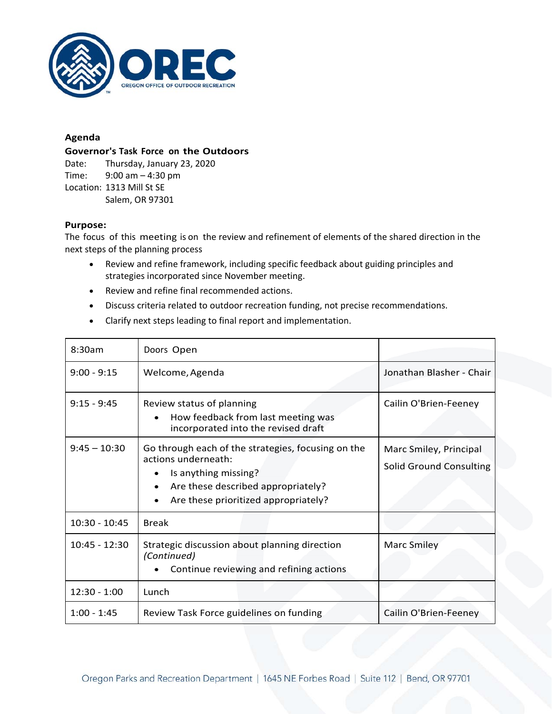

## **Agenda**

## **Governor's Task Force on the Outdoors**

Date: Thursday, January 23, 2020 Time: 9:00 am – 4:30 pm Location: 1313 Mill St SE Salem, OR 97301

## **Purpose:**

The focus of this meeting is on the review and refinement of elements of the shared direction in the next steps of the planning process

- Review and refine framework, including specific feedback about guiding principles and strategies incorporated since November meeting.
- Review and refine final recommended actions.
- Discuss criteria related to outdoor recreation funding, not precise recommendations.
- Clarify next steps leading to final report and implementation.

| 8:30am          | Doors Open                                                                                                                                                                                   |                                                          |
|-----------------|----------------------------------------------------------------------------------------------------------------------------------------------------------------------------------------------|----------------------------------------------------------|
| $9:00 - 9:15$   | Welcome, Agenda                                                                                                                                                                              | Jonathan Blasher - Chair                                 |
| $9:15 - 9:45$   | Review status of planning<br>How feedback from last meeting was<br>incorporated into the revised draft                                                                                       | Cailin O'Brien-Feeney                                    |
| $9:45 - 10:30$  | Go through each of the strategies, focusing on the<br>actions underneath:<br>Is anything missing?<br>$\bullet$<br>Are these described appropriately?<br>Are these prioritized appropriately? | Marc Smiley, Principal<br><b>Solid Ground Consulting</b> |
| $10:30 - 10:45$ | <b>Break</b>                                                                                                                                                                                 |                                                          |
| $10:45 - 12:30$ | Strategic discussion about planning direction<br>(Continued)<br>Continue reviewing and refining actions                                                                                      | <b>Marc Smiley</b>                                       |
| $12:30 - 1:00$  | Lunch                                                                                                                                                                                        |                                                          |
| $1:00 - 1:45$   | Review Task Force guidelines on funding                                                                                                                                                      | Cailin O'Brien-Feeney                                    |